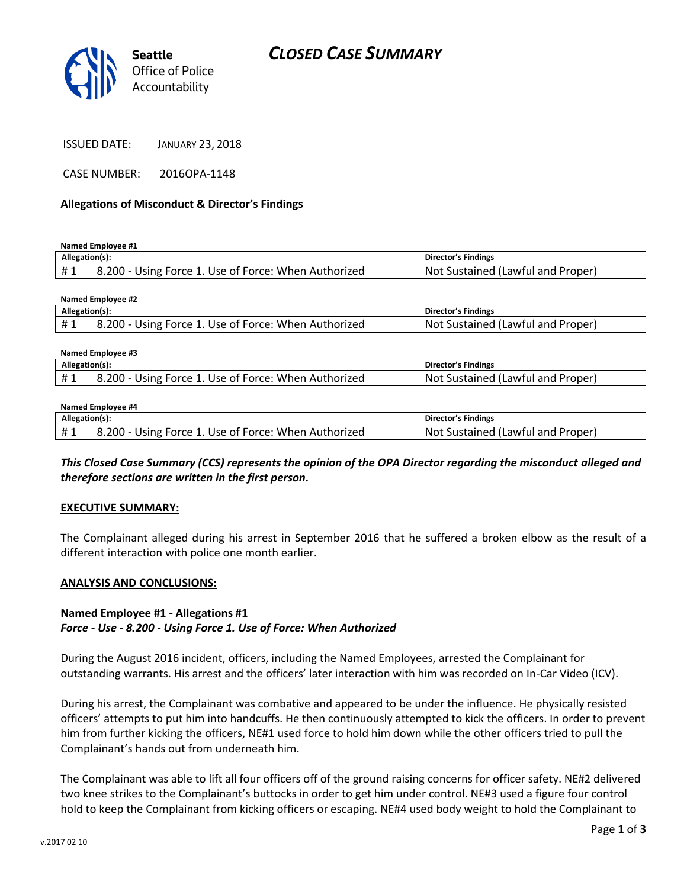

CASE NUMBER: 2016OPA-1148

### **Allegations of Misconduct & Director's Findings**

**Named Employee #1**

**Named Employee #2**

| Allegation(s): |                                                      | Director's Findings               |
|----------------|------------------------------------------------------|-----------------------------------|
| #1             | 8.200 - Using Force 1. Use of Force: When Authorized | Not Sustained (Lawful and Proper) |

| <b>INGHITER LITTPIONEE THE</b> |                                                      |                                   |  |  |
|--------------------------------|------------------------------------------------------|-----------------------------------|--|--|
| Allegation(s):                 |                                                      | Director's Findings               |  |  |
|                                | 8.200 - Using Force 1. Use of Force: When Authorized | Not Sustained (Lawful and Proper) |  |  |

| Named Employee #3 |                                                      |                                   |  |  |
|-------------------|------------------------------------------------------|-----------------------------------|--|--|
| Allegation(s):    |                                                      | Director's Findings               |  |  |
| #1                | 8.200 - Using Force 1. Use of Force: When Authorized | Not Sustained (Lawful and Proper) |  |  |

#### **Named Employee #4**

| Allegation(s): |                                                      | <b>Director's Findings</b>        |
|----------------|------------------------------------------------------|-----------------------------------|
| #1             | 8.200 - Using Force 1. Use of Force: When Authorized | Not Sustained (Lawful and Proper) |

*This Closed Case Summary (CCS) represents the opinion of the OPA Director regarding the misconduct alleged and therefore sections are written in the first person.* 

#### **EXECUTIVE SUMMARY:**

The Complainant alleged during his arrest in September 2016 that he suffered a broken elbow as the result of a different interaction with police one month earlier.

### **ANALYSIS AND CONCLUSIONS:**

### **Named Employee #1 - Allegations #1** *Force - Use - 8.200 - Using Force 1. Use of Force: When Authorized*

During the August 2016 incident, officers, including the Named Employees, arrested the Complainant for outstanding warrants. His arrest and the officers' later interaction with him was recorded on In-Car Video (ICV).

During his arrest, the Complainant was combative and appeared to be under the influence. He physically resisted officers' attempts to put him into handcuffs. He then continuously attempted to kick the officers. In order to prevent him from further kicking the officers, NE#1 used force to hold him down while the other officers tried to pull the Complainant's hands out from underneath him.

The Complainant was able to lift all four officers off of the ground raising concerns for officer safety. NE#2 delivered two knee strikes to the Complainant's buttocks in order to get him under control. NE#3 used a figure four control hold to keep the Complainant from kicking officers or escaping. NE#4 used body weight to hold the Complainant to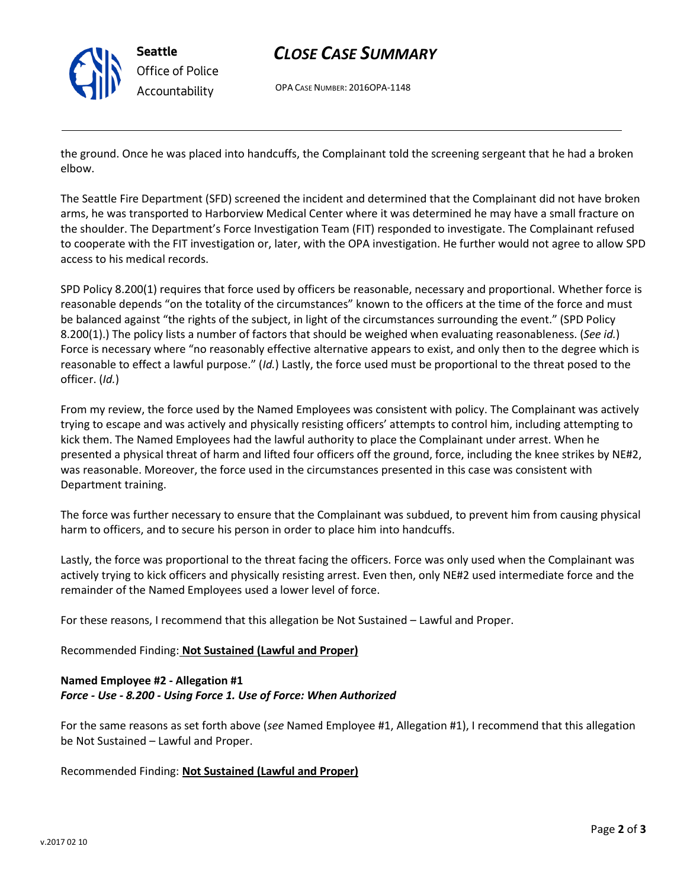

# *CLOSE CASE SUMMARY*

OPA CASE NUMBER: 2016OPA-1148

the ground. Once he was placed into handcuffs, the Complainant told the screening sergeant that he had a broken elbow.

The Seattle Fire Department (SFD) screened the incident and determined that the Complainant did not have broken arms, he was transported to Harborview Medical Center where it was determined he may have a small fracture on the shoulder. The Department's Force Investigation Team (FIT) responded to investigate. The Complainant refused to cooperate with the FIT investigation or, later, with the OPA investigation. He further would not agree to allow SPD access to his medical records.

SPD Policy 8.200(1) requires that force used by officers be reasonable, necessary and proportional. Whether force is reasonable depends "on the totality of the circumstances" known to the officers at the time of the force and must be balanced against "the rights of the subject, in light of the circumstances surrounding the event." (SPD Policy 8.200(1).) The policy lists a number of factors that should be weighed when evaluating reasonableness. (*See id.*) Force is necessary where "no reasonably effective alternative appears to exist, and only then to the degree which is reasonable to effect a lawful purpose." (*Id.*) Lastly, the force used must be proportional to the threat posed to the officer. (*Id.*)

From my review, the force used by the Named Employees was consistent with policy. The Complainant was actively trying to escape and was actively and physically resisting officers' attempts to control him, including attempting to kick them. The Named Employees had the lawful authority to place the Complainant under arrest. When he presented a physical threat of harm and lifted four officers off the ground, force, including the knee strikes by NE#2, was reasonable. Moreover, the force used in the circumstances presented in this case was consistent with Department training.

The force was further necessary to ensure that the Complainant was subdued, to prevent him from causing physical harm to officers, and to secure his person in order to place him into handcuffs.

Lastly, the force was proportional to the threat facing the officers. Force was only used when the Complainant was actively trying to kick officers and physically resisting arrest. Even then, only NE#2 used intermediate force and the remainder of the Named Employees used a lower level of force.

For these reasons, I recommend that this allegation be Not Sustained – Lawful and Proper.

Recommended Finding: **Not Sustained (Lawful and Proper)**

### **Named Employee #2 - Allegation #1** *Force - Use - 8.200 - Using Force 1. Use of Force: When Authorized*

For the same reasons as set forth above (*see* Named Employee #1, Allegation #1), I recommend that this allegation be Not Sustained – Lawful and Proper.

Recommended Finding: **Not Sustained (Lawful and Proper)**